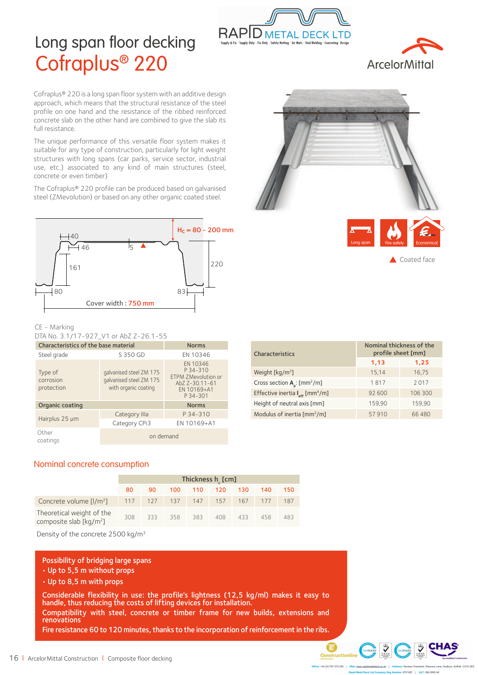

# Long span floor decking Cofraplus® 220



Cofraplus® 220 is a long span floor system with an additive design approach, which means that the structural resistance of the steel profile on one hand and the resistance of the ribbed reinforced concrete slab on the other hand are combined to give the slab its full resistance.

The unique performance of this versatile floor system makes it suitable for any type of construction, particularly for light weight structures with long spans (car parks, service sector, industrial use, etc.) associated to any kind of main structures (steel, concrete or even timber)

The Cofraplus® 220 profile can be produced based on galvanised steel (ZMevolution) or based on any other organic coated steel.



#### CE - Marking

DTA No. 3.1/17-927\_V1 or AbZ Z-26.1-55

| Characteristics of the base material | <b>Norms</b>                                                               |                                                                                          |  |  |  |  |
|--------------------------------------|----------------------------------------------------------------------------|------------------------------------------------------------------------------------------|--|--|--|--|
| Steel grade                          | S 350 GD                                                                   | EN 10346                                                                                 |  |  |  |  |
| Type of<br>corrosion<br>protection   | galvanised steel ZM 175<br>galvanised steel ZM 175<br>with organic coating | EN 10346<br>P 34-310<br>ETPM ZMevolution or<br>AbZ Z-30.11-61<br>EN 10169+A1<br>P 34-301 |  |  |  |  |
| Organic coating                      |                                                                            | <b>Norms</b>                                                                             |  |  |  |  |
| Hairplus 25 µm                       | Category IIIa                                                              | P 34-310                                                                                 |  |  |  |  |
|                                      | Category CPi3                                                              | EN 10169+A1                                                                              |  |  |  |  |
| Other<br>coatings                    | on demand                                                                  |                                                                                          |  |  |  |  |

| Δ<br>Long span | ᆋ<br>Fire safety | 4<br>£.<br>Economical |
|----------------|------------------|-----------------------|

Coated face

| <b>Characteristics</b>                                  | Nominal thickness of the<br>profile sheet [mm] |         |  |  |  |  |  |
|---------------------------------------------------------|------------------------------------------------|---------|--|--|--|--|--|
|                                                         | 1,13                                           | 1,25    |  |  |  |  |  |
| Weight [kg/m <sup>2</sup> ]                             | 15,14                                          | 16,75   |  |  |  |  |  |
| Cross section $A_n$ : [mm <sup>2</sup> /m]              | 1817                                           | 2017    |  |  |  |  |  |
| Effective inertia I <sub>eff</sub> [mm <sup>4</sup> /m] | 92 600                                         | 106 300 |  |  |  |  |  |
| Height of neutral axis [mm]                             | 159,90                                         | 159,90  |  |  |  |  |  |
| Modulus of inertia [mm <sup>3</sup> /m]                 | 57910                                          | 66480   |  |  |  |  |  |

#### Nominal concrete consumption

|                                                                   |    |    |                         | Thickness $h_{\ell}$ [cm] |  |     |     |
|-------------------------------------------------------------------|----|----|-------------------------|---------------------------|--|-----|-----|
|                                                                   | 80 | 90 |                         | 100 110 120 130           |  | 140 | 150 |
| Concrete volume $\lceil l/m^2 \rceil$ 117 127 137 147 157 167 177 |    |    |                         |                           |  |     | 187 |
| Theoretical weight of the<br>composite slab [ $\text{kg/m}^2$ ]   |    |    | 308 333 358 383 408 433 |                           |  | 458 | 483 |

Density of the concrete 2500 kg/m3

#### Possibility of bridging large spans

• Up to 5,5 m without props

• Up to 8,5 m with props

Considerable flexibility in use: the profile's lightness (12,5 kg/ml) makes it easy to handle, thus reducing the costs of lifting devices for installation. Compatibility with steel, concrete or timber frame for new builds, extensions and renovations

Fire resistance 60 to 120 minutes, thanks to the incorporation of reinforcement in the ribs.



 $\frac{d}{dx}$